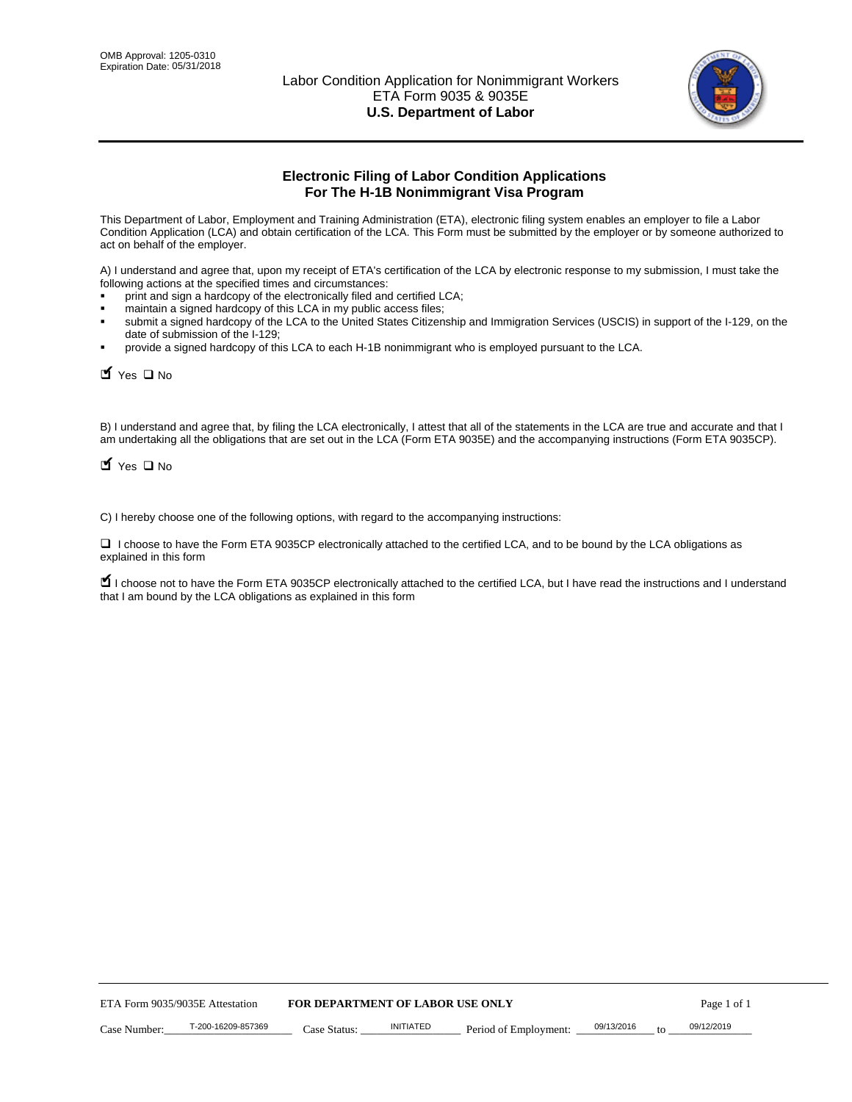

# **Electronic Filing of Labor Condition Applications For The H-1B Nonimmigrant Visa Program**

This Department of Labor, Employment and Training Administration (ETA), electronic filing system enables an employer to file a Labor Condition Application (LCA) and obtain certification of the LCA. This Form must be submitted by the employer or by someone authorized to act on behalf of the employer.

A) I understand and agree that, upon my receipt of ETA's certification of the LCA by electronic response to my submission, I must take the following actions at the specified times and circumstances:

- print and sign a hardcopy of the electronically filed and certified LCA;
- maintain a signed hardcopy of this LCA in my public access files;
- submit a signed hardcopy of the LCA to the United States Citizenship and Immigration Services (USCIS) in support of the I-129, on the date of submission of the I-129;
- provide a signed hardcopy of this LCA to each H-1B nonimmigrant who is employed pursuant to the LCA.

| Yes O No                        |                                                                  |                                         |                  |                                                                                                                                                                                                                                                                                     |            |    |             |
|---------------------------------|------------------------------------------------------------------|-----------------------------------------|------------------|-------------------------------------------------------------------------------------------------------------------------------------------------------------------------------------------------------------------------------------------------------------------------------------|------------|----|-------------|
| $\blacksquare$ Yes $\square$ No |                                                                  |                                         |                  | B) I understand and agree that, by filing the LCA electronically, I attest that all of the statements in the LCA are true and accurate and th<br>am undertaking all the obligations that are set out in the LCA (Form ETA 9035E) and the accompanying instructions (Form ETA 9035CF |            |    |             |
|                                 |                                                                  |                                         |                  | C) I hereby choose one of the following options, with regard to the accompanying instructions:                                                                                                                                                                                      |            |    |             |
| explained in this form          |                                                                  |                                         |                  | □ I choose to have the Form ETA 9035CP electronically attached to the certified LCA, and to be bound by the LCA obligations as                                                                                                                                                      |            |    |             |
|                                 | that I am bound by the LCA obligations as explained in this form |                                         |                  | I choose not to have the Form ETA 9035CP electronically attached to the certified LCA, but I have read the instructions and I unders                                                                                                                                                |            |    |             |
|                                 |                                                                  |                                         |                  |                                                                                                                                                                                                                                                                                     |            |    |             |
|                                 |                                                                  |                                         |                  |                                                                                                                                                                                                                                                                                     |            |    |             |
|                                 |                                                                  |                                         |                  |                                                                                                                                                                                                                                                                                     |            |    |             |
|                                 |                                                                  |                                         |                  |                                                                                                                                                                                                                                                                                     |            |    |             |
|                                 |                                                                  |                                         |                  |                                                                                                                                                                                                                                                                                     |            |    |             |
|                                 |                                                                  |                                         |                  |                                                                                                                                                                                                                                                                                     |            |    |             |
|                                 |                                                                  |                                         |                  |                                                                                                                                                                                                                                                                                     |            |    |             |
|                                 |                                                                  |                                         |                  |                                                                                                                                                                                                                                                                                     |            |    |             |
|                                 |                                                                  |                                         |                  |                                                                                                                                                                                                                                                                                     |            |    |             |
|                                 |                                                                  |                                         |                  |                                                                                                                                                                                                                                                                                     |            |    |             |
|                                 | ETA Form 9035/9035E Attestation                                  | <b>FOR DEPARTMENT OF LABOR USE ONLY</b> |                  |                                                                                                                                                                                                                                                                                     |            |    | Page 1 of 1 |
| Case Number:                    | T-200-16209-857369                                               | Case Status:                            | <b>INITIATED</b> | Period of Employment:                                                                                                                                                                                                                                                               | 09/13/2016 | to | 09/12/2019  |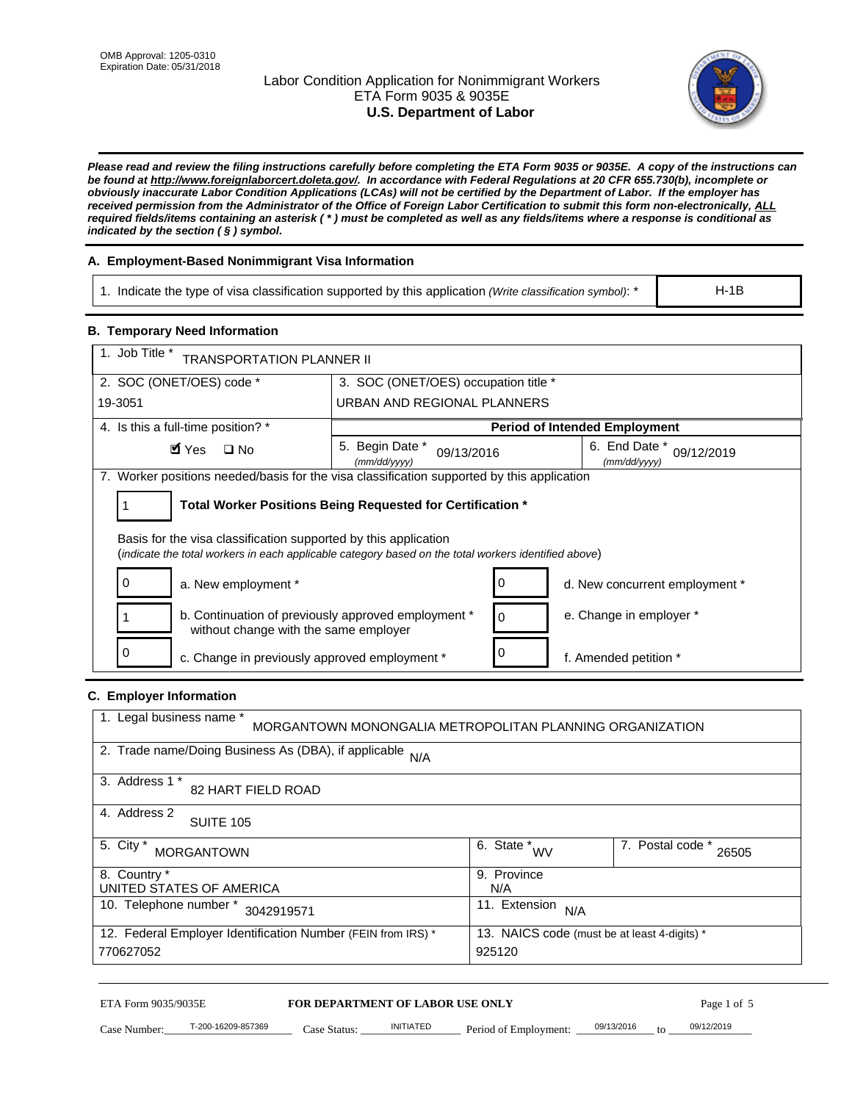## Labor Condition Application for Nonimmigrant Workers ETA Form 9035 & 9035E **U.S. Department of Labor**



*Please read and review the filing instructions carefully before completing the ETA Form 9035 or 9035E. A copy of the instructions can be found at http://www.foreignlaborcert.doleta.gov/. In accordance with Federal Regulations at 20 CFR 655.730(b), incomplete or obviously inaccurate Labor Condition Applications (LCAs) will not be certified by the Department of Labor. If the employer has received permission from the Administrator of the Office of Foreign Labor Certification to submit this form non-electronically, ALL required fields/items containing an asterisk ( \* ) must be completed as well as any fields/items where a response is conditional as indicated by the section ( § ) symbol.* 

## **A. Employment-Based Nonimmigrant Visa Information**

1. Indicate the type of visa classification supported by this application *(Write classification symbol)*: \*

### **B. Temporary Need Information**

| <b>B. Temporary Need Information</b>                                                                                                                                    |                                                            |                                              |  |  |
|-------------------------------------------------------------------------------------------------------------------------------------------------------------------------|------------------------------------------------------------|----------------------------------------------|--|--|
| 1. Job Title *<br><b>TRANSPORTATION PLANNER II</b>                                                                                                                      |                                                            |                                              |  |  |
| 2. SOC (ONET/OES) code *                                                                                                                                                | 3. SOC (ONET/OES) occupation title *                       |                                              |  |  |
| 19-3051                                                                                                                                                                 | URBAN AND REGIONAL PLANNERS                                |                                              |  |  |
| 4. Is this a full-time position? *                                                                                                                                      |                                                            | <b>Period of Intended Employment</b>         |  |  |
| $\blacksquare$ Yes<br>$\square$ No                                                                                                                                      | 5. Begin Date *<br>09/13/2016<br>(mm/dd/yyyy)              | 6. End Date *<br>09/12/2019<br>(mm/dd/yyyy)  |  |  |
| 7. Worker positions needed/basis for the visa classification supported by this application                                                                              |                                                            |                                              |  |  |
| 1                                                                                                                                                                       | Total Worker Positions Being Requested for Certification * |                                              |  |  |
| Basis for the visa classification supported by this application<br>(indicate the total workers in each applicable category based on the total workers identified above) |                                                            |                                              |  |  |
| 0<br>a. New employment *                                                                                                                                                | 0                                                          | d. New concurrent employment *               |  |  |
| b. Continuation of previously approved employment *<br>without change with the same employer                                                                            | 0                                                          | e. Change in employer *                      |  |  |
| 0<br>c. Change in previously approved employment *                                                                                                                      | 0                                                          | f. Amended petition *                        |  |  |
| C. Employer Information                                                                                                                                                 |                                                            |                                              |  |  |
| 1. Legal business name *                                                                                                                                                | MORGANTOWN MONONGALIA METROPOLITAN PLANNING ORGANIZATION   |                                              |  |  |
| 2. Trade name/Doing Business As (DBA), if applicable N/A                                                                                                                |                                                            |                                              |  |  |
| 3. Address 1 *<br>82 HART FIELD ROAD                                                                                                                                    |                                                            |                                              |  |  |
| 4. Address 2<br><b>SUITE 105</b>                                                                                                                                        |                                                            |                                              |  |  |
| 5. City *<br><b>MORGANTOWN</b>                                                                                                                                          | 6. State $*_{\text{WV}}$                                   | $\overline{7.$ Postal code $*$ 26505         |  |  |
| 8. Country *<br>UNITED STATES OF AMERICA                                                                                                                                | N/A                                                        | 9. Province                                  |  |  |
| 10. Telephone number * 3042919571<br>11. Extension $N/A$                                                                                                                |                                                            |                                              |  |  |
| 12. Federal Employer Identification Number (FEIN from IRS) *<br>770627052                                                                                               | 925120                                                     | 13. NAICS code (must be at least 4-digits) * |  |  |
|                                                                                                                                                                         |                                                            |                                              |  |  |

## **C. Employer Information**

| 1. Legal business name *<br>MORGANTOWN MONONGALIA METROPOLITAN PLANNING ORGANIZATION                         |                               |                           |
|--------------------------------------------------------------------------------------------------------------|-------------------------------|---------------------------|
| 2. Trade name/Doing Business As (DBA), if applicable N/A                                                     |                               |                           |
| Address 1 *<br>3.<br><b>82 HART FIELD ROAD</b>                                                               |                               |                           |
| 4. Address 2<br><b>SUITE 105</b>                                                                             |                               |                           |
| 5. City *<br><b>MORGANTOWN</b>                                                                               | . State $N_{\text{VV}}$<br>6. | 7. Postal code *<br>26505 |
| 8. Country *                                                                                                 | 9. Province                   |                           |
| UNITED STATES OF AMERICA                                                                                     | N/A                           |                           |
| 10. Telephone number *<br>3042919571                                                                         | 11. Extension<br>N/A          |                           |
| 12. Federal Employer Identification Number (FEIN from IRS) *<br>13. NAICS code (must be at least 4-digits) * |                               |                           |
| 770627052                                                                                                    | 925120                        |                           |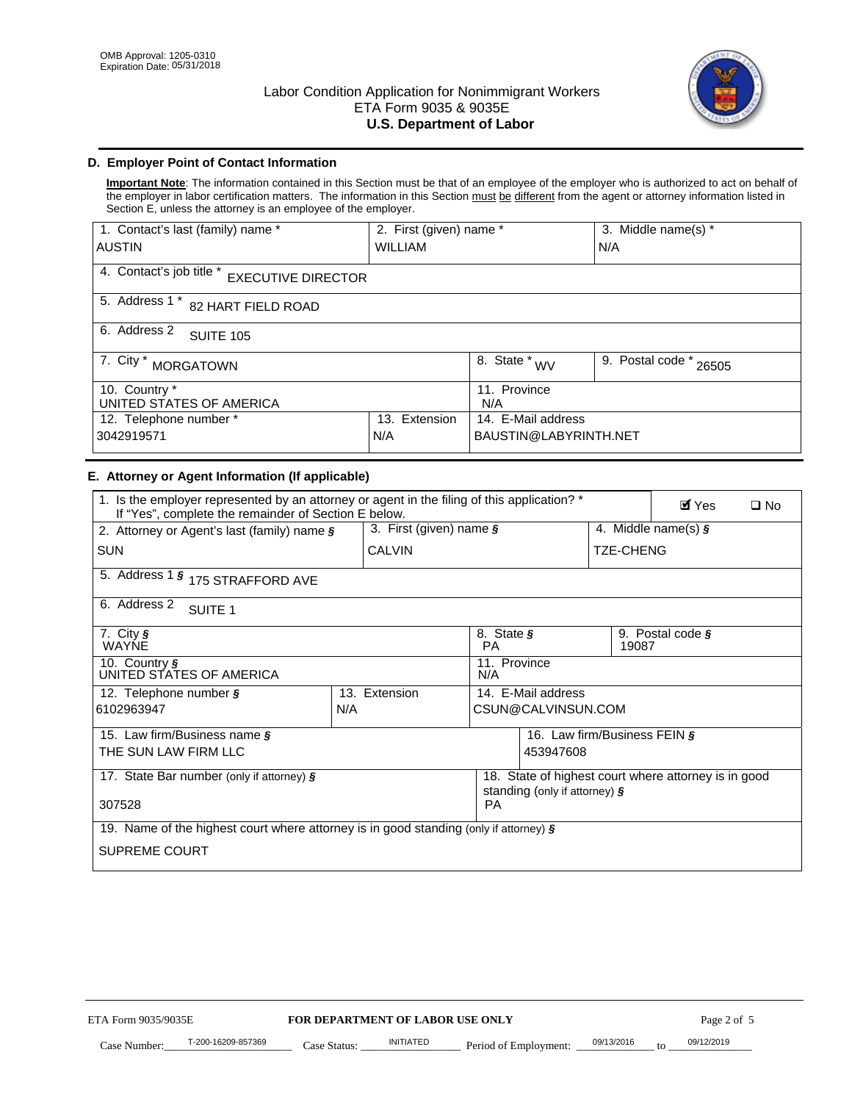

## **D. Employer Point of Contact Information**

**Important Note**: The information contained in this Section must be that of an employee of the employer who is authorized to act on behalf of the employer in labor certification matters. The information in this Section must be different from the agent or attorney information listed in Section E, unless the attorney is an employee of the employer.

| 1. Contact's last (family) name *                     | 2. First (given) name *               |                           | 3. Middle name(s) * |
|-------------------------------------------------------|---------------------------------------|---------------------------|---------------------|
| <b>IAUSTIN</b>                                        | <b>WILLIAM</b>                        |                           | N/A                 |
| 4. Contact's job title *<br><b>EXECUTIVE DIRECTOR</b> |                                       |                           |                     |
| 5. Address 1 *<br>82 HART FIELD ROAD                  |                                       |                           |                     |
| 6. Address 2<br><b>SUITE 105</b>                      |                                       |                           |                     |
| 7. City $*$<br><b>MORGATOWN</b>                       | $\overline{8}$ . State *<br><b>WV</b> | 9. Postal code *<br>26505 |                     |
| 10. Country *                                         | 11. Province                          |                           |                     |
| UNITED STATES OF AMERICA                              | N/A                                   |                           |                     |
| 12. Telephone number *<br>Extension<br>13.            |                                       | 14. E-Mail address        |                     |
| 3042919571                                            | BAUSTIN@LABYRINTH.NET                 |                           |                     |

## **E. Attorney or Agent Information (If applicable)**

| <b>AUSTIN</b>                                                                                                                                       | <b>WILLIAM</b>                   |                                                                                       |                                               | N/A              |                                       |              |
|-----------------------------------------------------------------------------------------------------------------------------------------------------|----------------------------------|---------------------------------------------------------------------------------------|-----------------------------------------------|------------------|---------------------------------------|--------------|
| 4. Contact's job title * EXECUTIVE DIRECTOR                                                                                                         |                                  |                                                                                       |                                               |                  |                                       |              |
| 5. Address 1 * 82 HART FIELD ROAD                                                                                                                   |                                  |                                                                                       |                                               |                  |                                       |              |
| 6. Address 2<br><b>SUITE 105</b>                                                                                                                    |                                  |                                                                                       |                                               |                  |                                       |              |
| 7. City * MORGATOWN                                                                                                                                 |                                  | $\overline{\phantom{a}}$ 8. State $*_{\text{WV}}$                                     |                                               |                  | $\overline{9.}$ Postal code $*$ 26505 |              |
| $10.$ Country $*$<br>UNITED STATES OF AMERICA                                                                                                       |                                  | 11. Province<br>N/A                                                                   |                                               |                  |                                       |              |
| 12. Telephone number *<br>3042919571                                                                                                                | 13. Extension<br>N/A             |                                                                                       | 14. E-Mail address<br>BAUSTIN@LABYRINTH.NET   |                  |                                       |              |
| E. Attorney or Agent Information (If applicable)                                                                                                    |                                  |                                                                                       |                                               |                  |                                       |              |
| 1. Is the employer represented by an attorney or agent in the filing of this application? *<br>If "Yes", complete the remainder of Section E below. |                                  |                                                                                       |                                               |                  | $\mathbf{Y}$ Yes                      | $\square$ No |
| 2. Attorney or Agent's last (family) name §                                                                                                         | 3. First (given) name §          |                                                                                       |                                               |                  | 4. Middle name(s) $\sqrt{s}$          |              |
| <b>SUN</b>                                                                                                                                          | <b>CALVIN</b>                    |                                                                                       |                                               | <b>TZE-CHENG</b> |                                       |              |
| 5. Address 1 § 175 STRAFFORD AVE                                                                                                                    |                                  |                                                                                       |                                               |                  |                                       |              |
| 6. Address 2<br>SUITE <sub>1</sub>                                                                                                                  |                                  |                                                                                       |                                               |                  |                                       |              |
| 7. City §<br>WAYNE                                                                                                                                  |                                  | <b>PA</b>                                                                             | 8. State §<br>9. Postal code $\zeta$<br>19087 |                  |                                       |              |
| 10. Country §<br>UNITED STATES OF AMERICA                                                                                                           |                                  | 11. Province<br>N/A                                                                   |                                               |                  |                                       |              |
| 12. Telephone number §<br>6102963947                                                                                                                | 13. Extension<br>N/A             | 14. E-Mail address<br>CSUN@CALVINSUN.COM                                              |                                               |                  |                                       |              |
| 15. Law firm/Business name §                                                                                                                        |                                  |                                                                                       | 16. Law firm/Business FEIN §                  |                  |                                       |              |
| THE SUN LAW FIRM LLC                                                                                                                                |                                  | 453947608                                                                             |                                               |                  |                                       |              |
| 17. State Bar number (only if attorney) §                                                                                                           |                                  | 18. State of highest court where attorney is in good<br>standing (only if attorney) § |                                               |                  |                                       |              |
| 307528                                                                                                                                              |                                  | PA                                                                                    |                                               |                  |                                       |              |
| 19. Name of the highest court where attorney is in good standing (only if attorney) §                                                               |                                  |                                                                                       |                                               |                  |                                       |              |
| <b>SUPREME COURT</b>                                                                                                                                |                                  |                                                                                       |                                               |                  |                                       |              |
|                                                                                                                                                     |                                  |                                                                                       |                                               |                  |                                       |              |
|                                                                                                                                                     |                                  |                                                                                       |                                               |                  |                                       |              |
|                                                                                                                                                     |                                  |                                                                                       |                                               |                  |                                       |              |
|                                                                                                                                                     |                                  |                                                                                       |                                               |                  |                                       |              |
|                                                                                                                                                     |                                  |                                                                                       |                                               |                  |                                       |              |
|                                                                                                                                                     |                                  |                                                                                       |                                               |                  |                                       |              |
| ETA Form 9035/9035E                                                                                                                                 | FOR DEPARTMENT OF LABOR USE ONLY |                                                                                       |                                               |                  | Page 2 of 5                           |              |
| T-200-16209-857369                                                                                                                                  | <b>INITIATED</b>                 |                                                                                       |                                               | 09/13/2016       | 09/12/2019                            |              |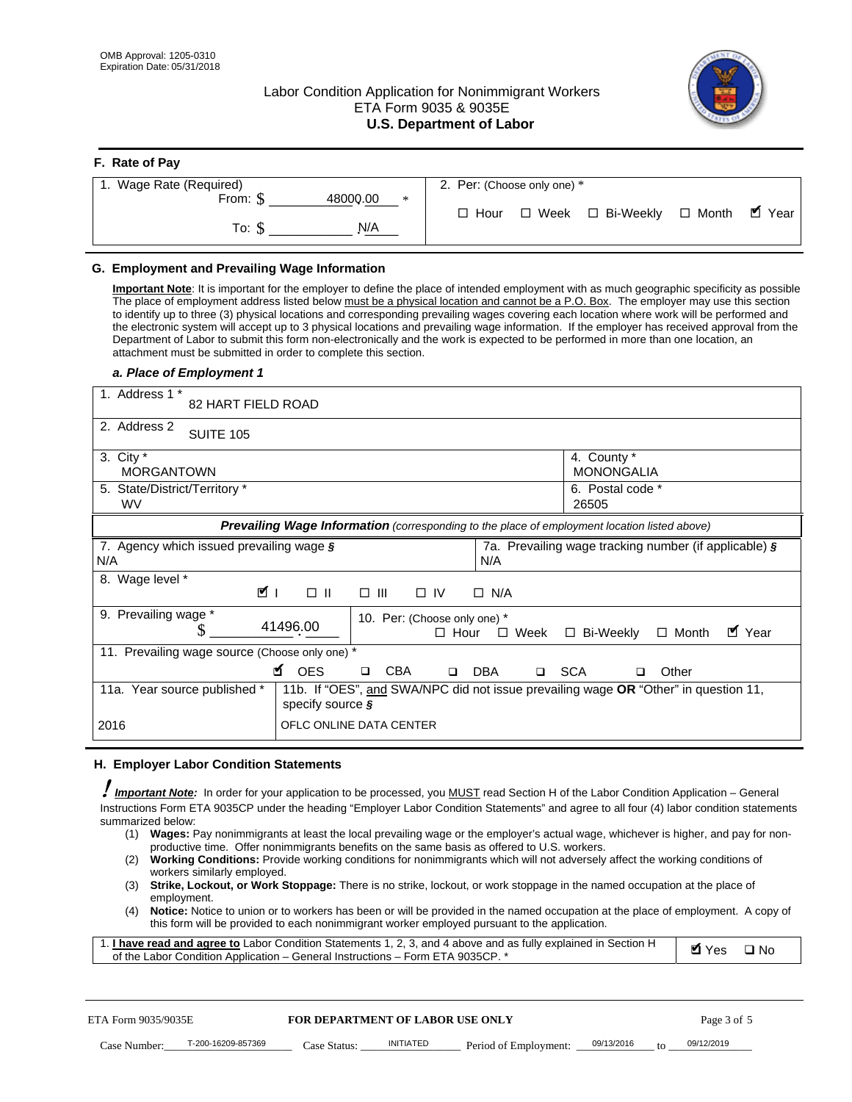**F. Rate of Pay** 

## Labor Condition Application for Nonimmigrant Workers ETA Form 9035 & 9035E **U.S. Department of Labor**



| <b>r.</b> Rate of Pay        |                                                     |
|------------------------------|-----------------------------------------------------|
| 1. Wage Rate (Required)      | 2. Per: (Choose only one) *                         |
| 48000.00<br>From: $$$<br>$*$ |                                                     |
|                              | ■ Year<br>□ Week □ Bi-Weekly □ Month<br>$\Box$ Hour |
| N/A<br>To: S                 |                                                     |
|                              |                                                     |

### **G. Employment and Prevailing Wage Information**

#### *a. Place of Employment 1*

| From: \$                                                                                                                                                                                                                                                                                                                                                                                                                                                                                                                                                                                                                                                                                                                                                                                                                                  | 48000.00<br>$\ast$<br>To: $\S$<br>N/A                                                                                                                                                                                                                                                                                                                                                                                                                                                                                                                                                                                                                                                                                                | $\Box$ Hour            | $\Box$ Week $\Box$ Bi-Weekly                                  | $\blacksquare$ Year<br>$\Box$ Month |  |  |
|-------------------------------------------------------------------------------------------------------------------------------------------------------------------------------------------------------------------------------------------------------------------------------------------------------------------------------------------------------------------------------------------------------------------------------------------------------------------------------------------------------------------------------------------------------------------------------------------------------------------------------------------------------------------------------------------------------------------------------------------------------------------------------------------------------------------------------------------|--------------------------------------------------------------------------------------------------------------------------------------------------------------------------------------------------------------------------------------------------------------------------------------------------------------------------------------------------------------------------------------------------------------------------------------------------------------------------------------------------------------------------------------------------------------------------------------------------------------------------------------------------------------------------------------------------------------------------------------|------------------------|---------------------------------------------------------------|-------------------------------------|--|--|
| G. Employment and Prevailing Wage Information<br>Important Note: It is important for the employer to define the place of intended employment with as much geographic specificity as possible<br>The place of employment address listed below must be a physical location and cannot be a P.O. Box. The employer may use this section<br>to identify up to three (3) physical locations and corresponding prevailing wages covering each location where work will be performed and<br>the electronic system will accept up to 3 physical locations and prevailing wage information. If the employer has received approval from the<br>Department of Labor to submit this form non-electronically and the work is expected to be performed in more than one location, an<br>attachment must be submitted in order to complete this section. |                                                                                                                                                                                                                                                                                                                                                                                                                                                                                                                                                                                                                                                                                                                                      |                        |                                                               |                                     |  |  |
| a. Place of Employment 1<br>1. Address 1 *<br>82 HART FIELD ROAD<br>2. Address 2                                                                                                                                                                                                                                                                                                                                                                                                                                                                                                                                                                                                                                                                                                                                                          |                                                                                                                                                                                                                                                                                                                                                                                                                                                                                                                                                                                                                                                                                                                                      |                        |                                                               |                                     |  |  |
| <b>SUITE 105</b><br>3. City $*$<br><b>MORGANTOWN</b><br>5. State/District/Territory *<br>WV                                                                                                                                                                                                                                                                                                                                                                                                                                                                                                                                                                                                                                                                                                                                               |                                                                                                                                                                                                                                                                                                                                                                                                                                                                                                                                                                                                                                                                                                                                      |                        | 4. County *<br><b>MONONGALIA</b><br>6. Postal code *<br>26505 |                                     |  |  |
| 7. Agency which issued prevailing wage $\zeta$<br>N/A                                                                                                                                                                                                                                                                                                                                                                                                                                                                                                                                                                                                                                                                                                                                                                                     | Prevailing Wage Information (corresponding to the place of employment location listed above)                                                                                                                                                                                                                                                                                                                                                                                                                                                                                                                                                                                                                                         | N/A                    | 7a. Prevailing wage tracking number (if applicable) §         |                                     |  |  |
| 8. Wage level *<br><b>MI</b><br>$\Box$ $\Box$<br>$\Box$ IV<br>$\Box$ N/A<br>9. Prevailing wage *<br>10. Per: (Choose only one) *<br>41496.00<br>S<br>■ Year<br>□ Bi-Weekly<br>$\Box$ Hour<br>$\Box$ Week<br>$\Box$ Month                                                                                                                                                                                                                                                                                                                                                                                                                                                                                                                                                                                                                  |                                                                                                                                                                                                                                                                                                                                                                                                                                                                                                                                                                                                                                                                                                                                      |                        |                                                               |                                     |  |  |
| 11. Prevailing wage source (Choose only one) *<br>11a. Year source published *                                                                                                                                                                                                                                                                                                                                                                                                                                                                                                                                                                                                                                                                                                                                                            | <b>¤</b> OES<br><b>CBA</b><br>$\Box$<br>11b. If "OES", and SWA/NPC did not issue prevailing wage OR "Other" in question 11,<br>specify source $\boldsymbol{\S}$                                                                                                                                                                                                                                                                                                                                                                                                                                                                                                                                                                      | □ SCA<br>DBA<br>$\Box$ | o.                                                            | Other                               |  |  |
| 2016                                                                                                                                                                                                                                                                                                                                                                                                                                                                                                                                                                                                                                                                                                                                                                                                                                      | OFLC ONLINE DATA CENTER                                                                                                                                                                                                                                                                                                                                                                                                                                                                                                                                                                                                                                                                                                              |                        |                                                               |                                     |  |  |
| H. Employer Labor Condition Statements<br><b>Important Note:</b> In order for your application to be processed, you MUST read Section H of the Labor Condition Application - General<br>Instructions Form ETA 9035CP under the heading "Employer Labor Condition Statements" and agree to all four (4) labor condition statements<br>summarized below:<br>(1)<br>(2)<br>workers similarly employed.<br>(3)<br>employment.<br>(4)<br>1. <i>I have read and agree to</i> Labor Condition Statements 1, 2, 3, and 4 above and as fully explained in Section H<br>of the Labor Condition Application - General Instructions - Form ETA 9035CP. *                                                                                                                                                                                              | Wages: Pay nonimmigrants at least the local prevailing wage or the employer's actual wage, whichever is higher, and pay for non-<br>productive time. Offer nonimmigrants benefits on the same basis as offered to U.S. workers.<br><b>Working Conditions:</b> Provide working conditions for nonimmigrants which will not adversely affect the working conditions of<br>Strike, Lockout, or Work Stoppage: There is no strike, lockout, or work stoppage in the named occupation at the place of<br>Notice: Notice to union or to workers has been or will be provided in the named occupation at the place of employment. A copy of<br>this form will be provided to each nonimmigrant worker employed pursuant to the application. |                        |                                                               | <b>Ø</b> Yes<br>$\square$ No        |  |  |
| ETA Form 9035/9035E                                                                                                                                                                                                                                                                                                                                                                                                                                                                                                                                                                                                                                                                                                                                                                                                                       | <b>FOR DEPARTMENT OF LABOR USE ONLY</b>                                                                                                                                                                                                                                                                                                                                                                                                                                                                                                                                                                                                                                                                                              |                        |                                                               | Page 3 of 5                         |  |  |
| T-200-16209-857369<br>Case Number:                                                                                                                                                                                                                                                                                                                                                                                                                                                                                                                                                                                                                                                                                                                                                                                                        | <b>INITIATED</b><br>Case Status:                                                                                                                                                                                                                                                                                                                                                                                                                                                                                                                                                                                                                                                                                                     | Period of Employment:  | 09/13/2016                                                    | 09/12/2019                          |  |  |

#### **H. Employer Labor Condition Statements**

- (1) **Wages:** Pay nonimmigrants at least the local prevailing wage or the employer's actual wage, whichever is higher, and pay for nonproductive time. Offer nonimmigrants benefits on the same basis as offered to U.S. workers.
- (2) **Working Conditions:** Provide working conditions for nonimmigrants which will not adversely affect the working conditions of workers similarly employed.
- (3) **Strike, Lockout, or Work Stoppage:** There is no strike, lockout, or work stoppage in the named occupation at the place of employment.
- (4) **Notice:** Notice to union or to workers has been or will be provided in the named occupation at the place of employment. A copy of this form will be provided to each nonimmigrant worker employed pursuant to the application.

| 1. I have read and agree to Labor Condition Statements 1, 2, 3, and 4 above and as fully explained in Section H | <b>M</b> Yes | $\square$ No |
|-----------------------------------------------------------------------------------------------------------------|--------------|--------------|
| of the Labor Condition Application – General Instructions – Form ETA 9035CP. *                                  |              |              |

| ETA Form 9035/9035E |                    | <b>FOR DEPARTMENT OF LABOR USE ONLY</b> |           |                                               |    | Page 3 of 5 |
|---------------------|--------------------|-----------------------------------------|-----------|-----------------------------------------------|----|-------------|
| Case Number:        | T-200-16209-857369 | Case Status:                            | INITIATED | Period of Employment: $\frac{09/13/2016}{20}$ | to | 09/12/2019  |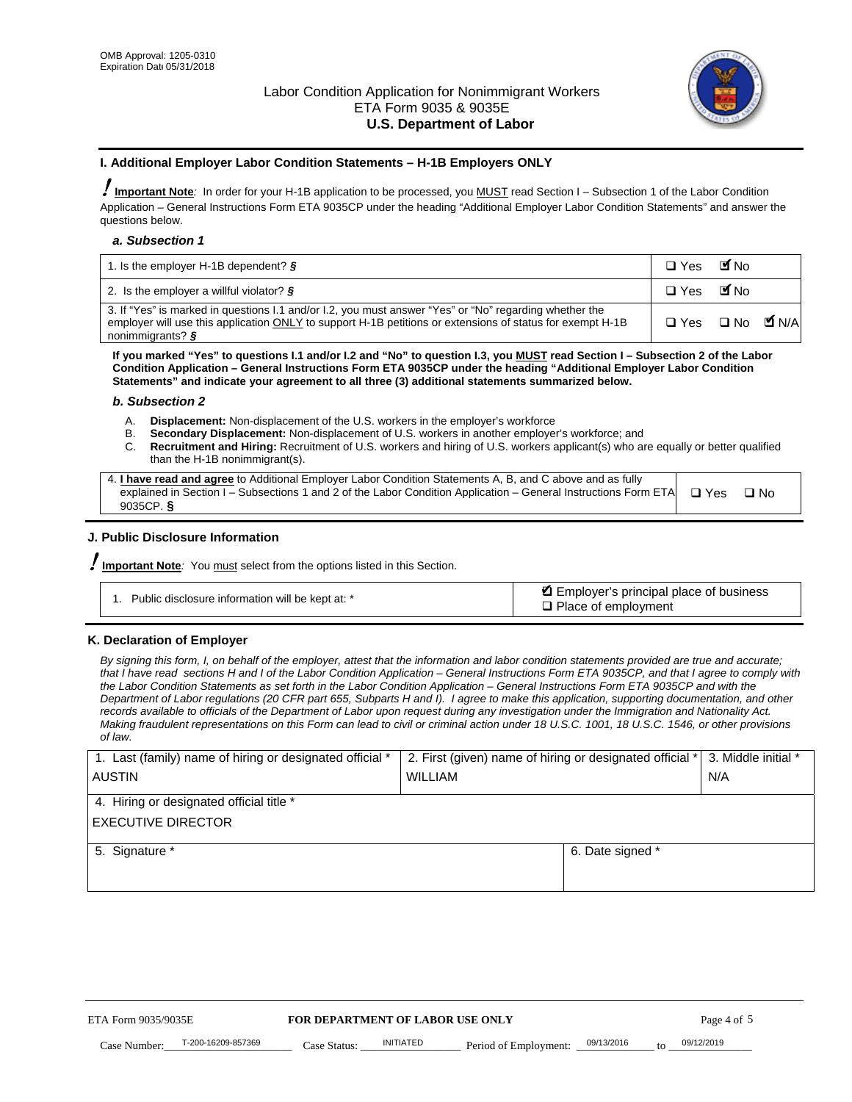

#### **I. Additional Employer Labor Condition Statements – H-1B Employers ONLY**

!**Important Note***:* In order for your H-1B application to be processed, you MUST read Section I – Subsection 1 of the Labor Condition Application – General Instructions Form ETA 9035CP under the heading "Additional Employer Labor Condition Statements" and answer the questions below.

#### *a. Subsection 1*

| 1. Is the employer H-1B dependent? $\S$                                                                                                                                                                                                             | $\square$ Yes                   | <b>M</b> <sub>No</sub> |  |
|-----------------------------------------------------------------------------------------------------------------------------------------------------------------------------------------------------------------------------------------------------|---------------------------------|------------------------|--|
| 2. Is the employer a willful violator? $\frac{1}{2}$                                                                                                                                                                                                | □ Yes ■No                       |                        |  |
| 3. If "Yes" is marked in questions I.1 and/or I.2, you must answer "Yes" or "No" regarding whether the<br>employer will use this application ONLY to support H-1B petitions or extensions of status for exempt H-1B<br>nonimmigrants? $\frac{1}{2}$ | $\Box$ Yes $\Box$ No $\Box$ N/A |                        |  |

**If you marked "Yes" to questions I.1 and/or I.2 and "No" to question I.3, you MUST read Section I – Subsection 2 of the Labor Condition Application – General Instructions Form ETA 9035CP under the heading "Additional Employer Labor Condition Statements" and indicate your agreement to all three (3) additional statements summarized below.** 

#### *b. Subsection 2*

- A. **Displacement:** Non-displacement of the U.S. workers in the employer's workforce
- B. **Secondary Displacement:** Non-displacement of U.S. workers in another employer's workforce; and
- C. **Recruitment and Hiring:** Recruitment of U.S. workers and hiring of U.S. workers applicant(s) who are equally or better qualified than the H-1B nonimmigrant(s).

| 4. I have read and agree to Additional Employer Labor Condition Statements A, B, and C above and as fully       |            |      |
|-----------------------------------------------------------------------------------------------------------------|------------|------|
| explained in Section I – Subsections 1 and 2 of the Labor Condition Application – General Instructions Form ETA | $\Box$ Yes | ⊟ No |
| 9035CP. $\frac{5}{9}$                                                                                           |            |      |

## **J. Public Disclosure Information**

!**Important Note***:* You must select from the options listed in this Section.

| Public disclosure information will be kept at: * | Employer's principal place of business<br>$\Box$ Place of employment |
|--------------------------------------------------|----------------------------------------------------------------------|
|--------------------------------------------------|----------------------------------------------------------------------|

#### **K. Declaration of Employer**

*By signing this form, I, on behalf of the employer, attest that the information and labor condition statements provided are true and accurate;*  that I have read sections H and I of the Labor Condition Application – General Instructions Form ETA 9035CP, and that I agree to comply with *the Labor Condition Statements as set forth in the Labor Condition Application – General Instructions Form ETA 9035CP and with the Department of Labor regulations (20 CFR part 655, Subparts H and I). I agree to make this application, supporting documentation, and other records available to officials of the Department of Labor upon request during any investigation under the Immigration and Nationality Act. Making fraudulent representations on this Form can lead to civil or criminal action under 18 U.S.C. 1001, 18 U.S.C. 1546, or other provisions of law.* 

| 1. Last (family) name of hiring or designated official * | 2. First (given) name of hiring or designated official * | 3. Middle initial *                   |             |  |
|----------------------------------------------------------|----------------------------------------------------------|---------------------------------------|-------------|--|
| <b>AUSTIN</b>                                            | WILLIAM                                                  |                                       |             |  |
| 4. Hiring or designated official title *                 |                                                          |                                       |             |  |
| <b>EXECUTIVE DIRECTOR</b>                                |                                                          |                                       |             |  |
| 5. Signature *                                           |                                                          | 6. Date signed *                      |             |  |
|                                                          |                                                          |                                       |             |  |
|                                                          |                                                          |                                       |             |  |
|                                                          |                                                          |                                       |             |  |
|                                                          |                                                          |                                       |             |  |
|                                                          |                                                          |                                       |             |  |
|                                                          |                                                          |                                       |             |  |
| ETA Form 9035/9035E<br>FOR DEPARTMENT OF LABOR USE ONLY  |                                                          |                                       | Page 4 of 5 |  |
| T-200-16209-857369<br>Case Number<br>Case Status:        | <b>INITIATED</b><br>Period of Employment:                | 09/13/2016<br>$\mathbf{f} \mathbf{O}$ | 09/12/2019  |  |